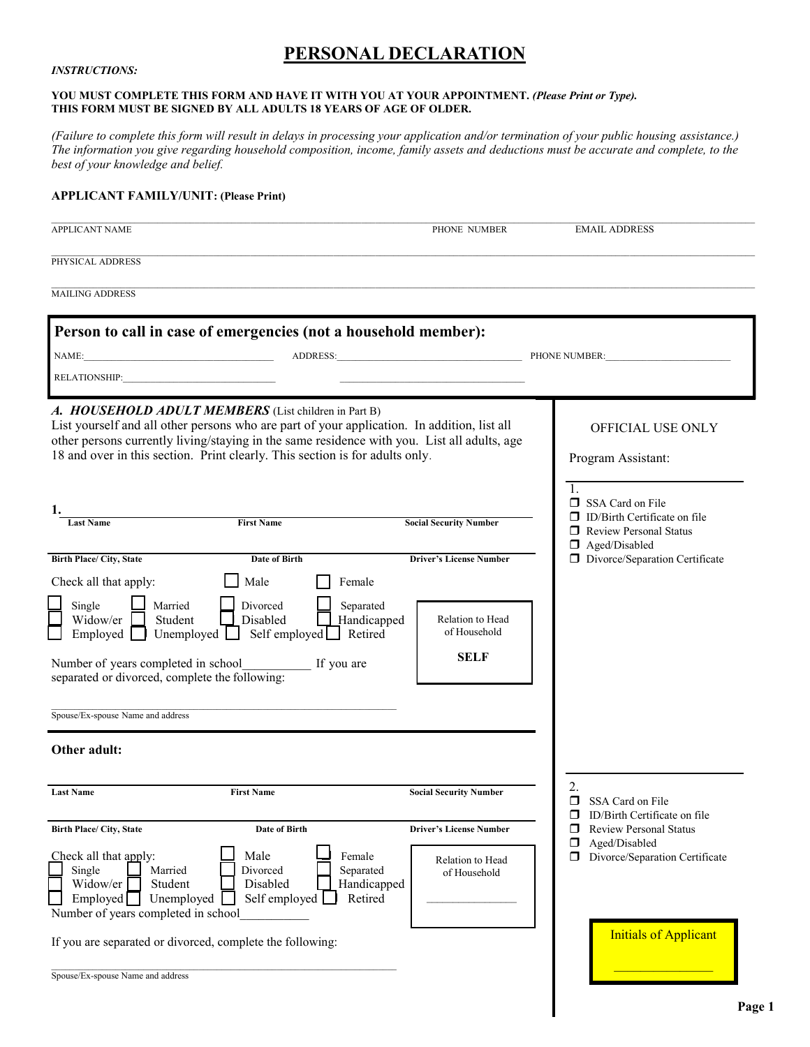# **PERSONAL DECLARATION**

#### *INSTRUCTIONS:*

#### **YOU MUST COMPLETE THIS FORM AND HAVE IT WITH YOU AT YOUR APPOINTMENT.** *(Please Print or Type).*  **THIS FORM MUST BE SIGNED BY ALL ADULTS 18 YEARS OF AGE OF OLDER.**

*(Failure to complete this form will result in delays in processing your application and/or termination of your public housing assistance.) The information you give regarding household composition, income, family assets and deductions must be accurate and complete, to the best of your knowledge and belief.* 

#### **APPLICANT FAMILY/UNIT: (Please Print)**

| <b>APPLICANT NAME</b>                                                                                                              |                                                                                                                                                                                                                                     | PHONE NUMBER                                                                                | <b>EMAIL ADDRESS</b>                                                      |
|------------------------------------------------------------------------------------------------------------------------------------|-------------------------------------------------------------------------------------------------------------------------------------------------------------------------------------------------------------------------------------|---------------------------------------------------------------------------------------------|---------------------------------------------------------------------------|
| PHYSICAL ADDRESS                                                                                                                   |                                                                                                                                                                                                                                     |                                                                                             |                                                                           |
| <b>MAILING ADDRESS</b>                                                                                                             |                                                                                                                                                                                                                                     |                                                                                             |                                                                           |
|                                                                                                                                    | Person to call in case of emergencies (not a household member):                                                                                                                                                                     |                                                                                             |                                                                           |
|                                                                                                                                    |                                                                                                                                                                                                                                     | ADDRESS:                                                                                    | PHONE NUMBER:                                                             |
| RELATIONSHIP:                                                                                                                      |                                                                                                                                                                                                                                     |                                                                                             |                                                                           |
|                                                                                                                                    | A. HOUSEHOLD ADULT MEMBERS (List children in Part B)<br>List yourself and all other persons who are part of your application. In addition, list all<br>18 and over in this section. Print clearly. This section is for adults only. | other persons currently living/staying in the same residence with you. List all adults, age | OFFICIAL USE ONLY<br>Program Assistant:                                   |
|                                                                                                                                    |                                                                                                                                                                                                                                     |                                                                                             | $\mathbf{1}$ .<br>SSA Card on File                                        |
| ı.<br><b>Last Name</b>                                                                                                             | <b>First Name</b>                                                                                                                                                                                                                   | <b>Social Security Number</b>                                                               | $\Box$ ID/Birth Certificate on file<br><b>Review Personal Status</b><br>□ |
|                                                                                                                                    |                                                                                                                                                                                                                                     |                                                                                             | $\Box$ Aged/Disabled                                                      |
| <b>Birth Place/ City, State</b>                                                                                                    | <b>Date of Birth</b>                                                                                                                                                                                                                | <b>Driver's License Number</b>                                                              | Divorce/Separation Certificate                                            |
| Single<br>Married<br>Widow/er<br>Student<br>Employed<br>separated or divorced, complete the following:                             | Divorced<br>Disabled<br>Unemployed $\Box$ Self employed $\Box$ Retired<br>Number of years completed in school If you are                                                                                                            | Separated<br>Handicapped<br>Relation to Head<br>of Household<br><b>SELF</b>                 |                                                                           |
| Spouse/Ex-spouse Name and address                                                                                                  |                                                                                                                                                                                                                                     |                                                                                             |                                                                           |
| Other adult:                                                                                                                       |                                                                                                                                                                                                                                     |                                                                                             |                                                                           |
| <b>Last Name</b>                                                                                                                   | <b>First Name</b>                                                                                                                                                                                                                   | <b>Social Security Number</b>                                                               | 2.<br>SSA Card on File                                                    |
| Birth Place/ City, State                                                                                                           | Date of Birth                                                                                                                                                                                                                       | <b>Driver's License Number</b>                                                              | ID/Birth Certificate on file<br>ப<br><b>Review Personal Status</b><br>□   |
| Check all that apply:<br>Single<br>Married<br>Widow/er<br>Student<br>Unemployed<br>Emploved<br>Number of years completed in school | Male<br>Divorced<br>Disabled<br>Self employed                                                                                                                                                                                       | Female<br>Relation to Head<br>Separated<br>of Household<br>Handicapped<br>Retired           | Aged/Disabled<br>□<br>Divorce/Separation Certificate<br>◻                 |
|                                                                                                                                    | If you are separated or divorced, complete the following:                                                                                                                                                                           |                                                                                             | <b>Initials of Applicant</b>                                              |
| Spouse/Ex-spouse Name and address                                                                                                  |                                                                                                                                                                                                                                     |                                                                                             |                                                                           |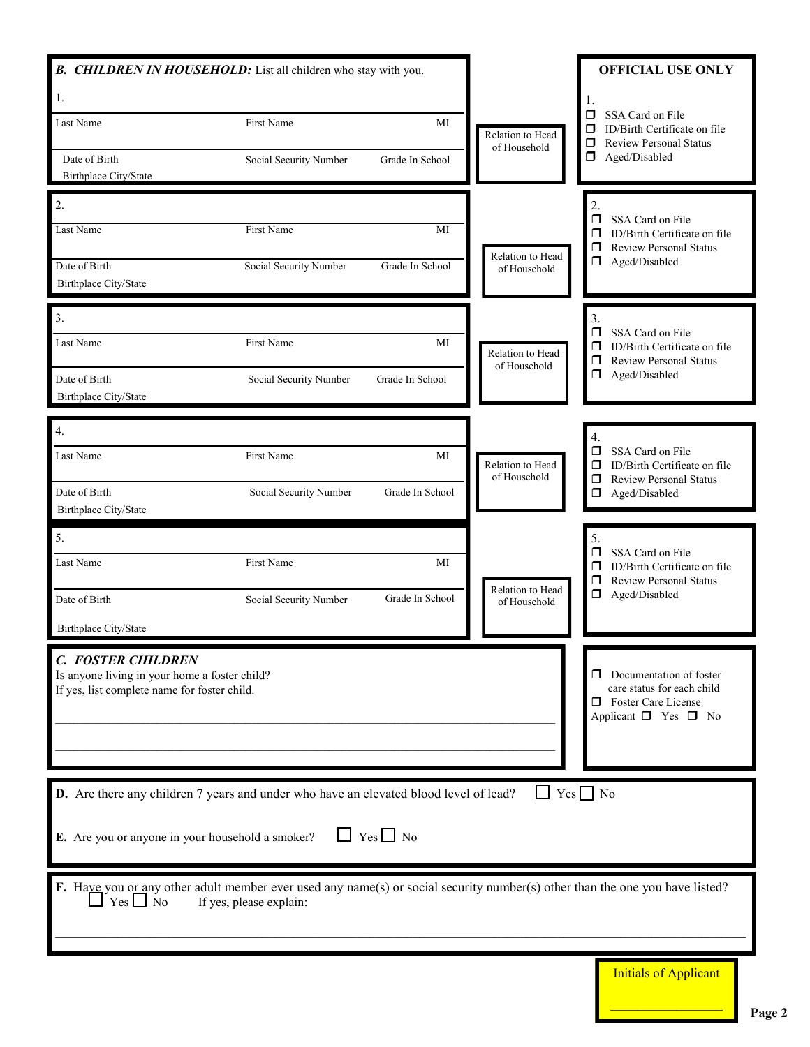| <b>B.</b> CHILDREN IN HOUSEHOLD: List all children who stay with you.                                                                                  |                               |                      |                                  | <b>OFFICIAL USE ONLY</b>                                                                                                           |
|--------------------------------------------------------------------------------------------------------------------------------------------------------|-------------------------------|----------------------|----------------------------------|------------------------------------------------------------------------------------------------------------------------------------|
| 1.<br>Last Name                                                                                                                                        | <b>First Name</b>             | MI                   |                                  | 1.<br>Ω<br>SSA Card on File                                                                                                        |
|                                                                                                                                                        |                               |                      | Relation to Head<br>of Household | ⊓<br>ID/Birth Certificate on file<br><b>Review Personal Status</b><br>◻                                                            |
| Date of Birth<br>Birthplace City/State                                                                                                                 | Social Security Number        | Grade In School      |                                  | ◻<br>Aged/Disabled                                                                                                                 |
| $\overline{2}$ .                                                                                                                                       |                               |                      |                                  | $\overline{2}$ .                                                                                                                   |
| Last Name                                                                                                                                              | <b>First Name</b>             | MI                   |                                  | SSA Card on File<br>ID/Birth Certificate on file                                                                                   |
|                                                                                                                                                        |                               |                      | Relation to Head                 | $\Box$<br><b>Review Personal Status</b>                                                                                            |
| Date of Birth<br>Birthplace City/State                                                                                                                 | <b>Social Security Number</b> | Grade In School      | of Household                     | Aged/Disabled                                                                                                                      |
| 3.                                                                                                                                                     |                               |                      |                                  | 3.<br>$\Box$<br>SSA Card on File                                                                                                   |
| Last Name                                                                                                                                              | First Name                    | MI                   | Relation to Head<br>of Household | ID/Birth Certificate on file<br>$\Box$<br><b>Review Personal Status</b><br>$\Box$                                                  |
| Date of Birth<br>Birthplace City/State                                                                                                                 | Social Security Number        | Grade In School      |                                  | Aged/Disabled                                                                                                                      |
|                                                                                                                                                        |                               |                      |                                  |                                                                                                                                    |
| 4.                                                                                                                                                     |                               |                      |                                  | 4.<br>SSA Card on File                                                                                                             |
| Last Name                                                                                                                                              | First Name                    | MI                   | Relation to Head<br>of Household | ID/Birth Certificate on file<br>$\Box$<br><b>Review Personal Status</b><br>$\Box$                                                  |
| Date of Birth<br>Birthplace City/State                                                                                                                 | Social Security Number        | Grade In School      |                                  | $\Box$<br>Aged/Disabled                                                                                                            |
| 5.                                                                                                                                                     |                               |                      |                                  | 5.<br>SSA Card on File                                                                                                             |
| Last Name                                                                                                                                              | First Name                    | MI                   | Relation to Head                 | ID/Birth Certificate on file<br>$\Box$<br><b>Review Personal Status</b>                                                            |
| Date of Birth                                                                                                                                          | Social Security Number        | Grade In School      | of Household                     | Aged/Disabled                                                                                                                      |
| Birthplace City/State                                                                                                                                  |                               |                      |                                  |                                                                                                                                    |
| <b>C. FOSTER CHILDREN</b><br>Is anyone living in your home a foster child?<br>If yes, list complete name for foster child.                             |                               |                      |                                  | Documentation of foster<br>□<br>care status for each child<br><b>D</b> Foster Care License<br>Applicant $\square$ Yes $\square$ No |
| D. Are there any children 7 years and under who have an elevated blood level of lead?                                                                  |                               |                      | $\Box$ Yes $\Box$ No             |                                                                                                                                    |
| E. Are you or anyone in your household a smoker?                                                                                                       |                               | $\Box$ Yes $\Box$ No |                                  |                                                                                                                                    |
| F. Have you or any other adult member ever used any name(s) or social security number(s) other than the one you have listed?<br>$\perp$ Yes $\perp$ No | If yes, please explain:       |                      |                                  |                                                                                                                                    |
|                                                                                                                                                        |                               |                      |                                  | <b>Initials of Applicant</b>                                                                                                       |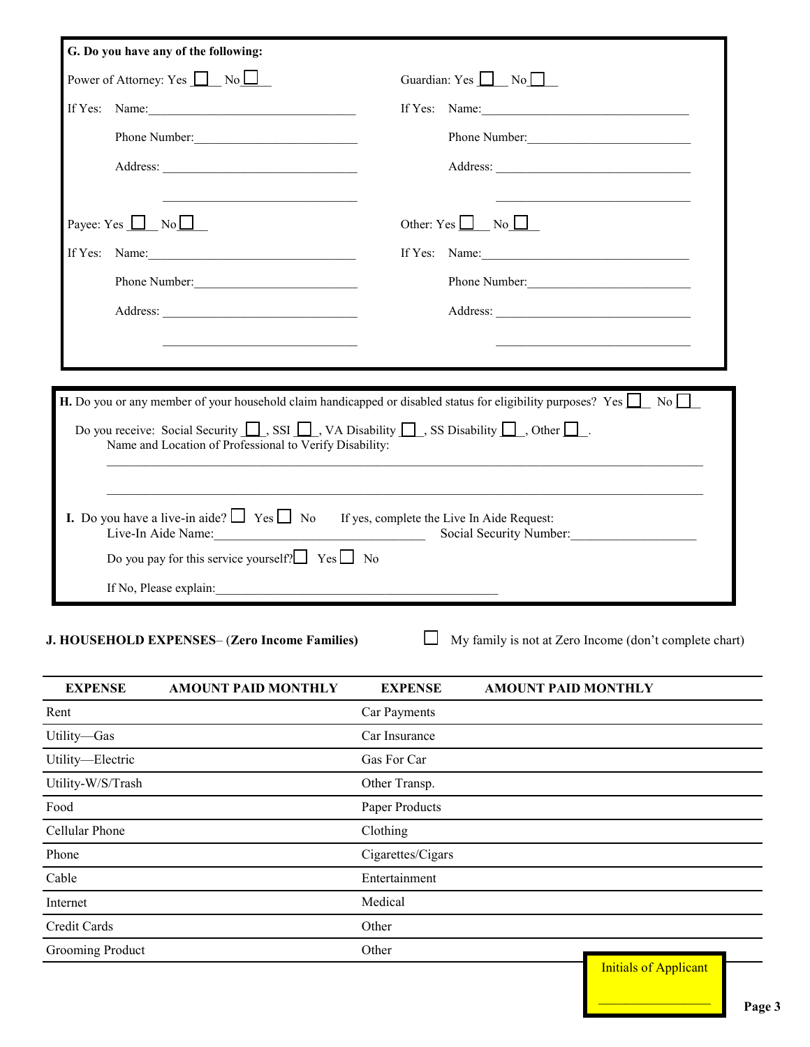| Power of Attorney: Yes $\Box$ No $\Box$                                                                                                                                                                                                                                           | Guardian: Yes $\Box$ No $\Box$                                                                                                                                                                                                                      |
|-----------------------------------------------------------------------------------------------------------------------------------------------------------------------------------------------------------------------------------------------------------------------------------|-----------------------------------------------------------------------------------------------------------------------------------------------------------------------------------------------------------------------------------------------------|
| If Yes: Name: $\frac{1}{2}$                                                                                                                                                                                                                                                       | If Yes: Name:                                                                                                                                                                                                                                       |
| Phone Number:                                                                                                                                                                                                                                                                     | Phone Number:                                                                                                                                                                                                                                       |
|                                                                                                                                                                                                                                                                                   |                                                                                                                                                                                                                                                     |
|                                                                                                                                                                                                                                                                                   | Other: $Yes \Box No \Box$                                                                                                                                                                                                                           |
| If Yes: Name: $\frac{1}{2}$ Name: $\frac{1}{2}$ Name: $\frac{1}{2}$ Name: $\frac{1}{2}$ Name: $\frac{1}{2}$ Name: $\frac{1}{2}$ Name: $\frac{1}{2}$ Name: $\frac{1}{2}$ Name: $\frac{1}{2}$ Name: $\frac{1}{2}$ Name: $\frac{1}{2}$ Name: $\frac{1}{2}$ Name: $\frac{1}{2}$ Name: | If Yes: Name:                                                                                                                                                                                                                                       |
| Phone Number:                                                                                                                                                                                                                                                                     | Phone Number:                                                                                                                                                                                                                                       |
|                                                                                                                                                                                                                                                                                   |                                                                                                                                                                                                                                                     |
|                                                                                                                                                                                                                                                                                   |                                                                                                                                                                                                                                                     |
| Name and Location of Professional to Verify Disability:                                                                                                                                                                                                                           | <b>H.</b> Do you or any member of your household claim handicapped or disabled status for eligibility purposes? Yes $\Box$ No<br>Do you receive: Social Security $\Box$ , SSI $\Box$ , VA Disability $\Box$ , SS Disability $\Box$ , Other $\Box$ . |

| <b>EXPENSE</b>    | <b>AMOUNT PAID MONTHLY</b> | <b>EXPENSE</b>    | <b>AMOUNT PAID MONTHLY</b>   |
|-------------------|----------------------------|-------------------|------------------------------|
| Rent              |                            | Car Payments      |                              |
| Utility-Gas       |                            | Car Insurance     |                              |
| Utility-Electric  |                            | Gas For Car       |                              |
| Utility-W/S/Trash |                            | Other Transp.     |                              |
| Food              |                            | Paper Products    |                              |
| Cellular Phone    |                            | Clothing          |                              |
| Phone             |                            | Cigarettes/Cigars |                              |
| Cable             |                            | Entertainment     |                              |
| Internet          |                            | Medical           |                              |
| Credit Cards      |                            | Other             |                              |
| Grooming Product  |                            | Other             |                              |
|                   |                            |                   | <b>Initials of Applicant</b> |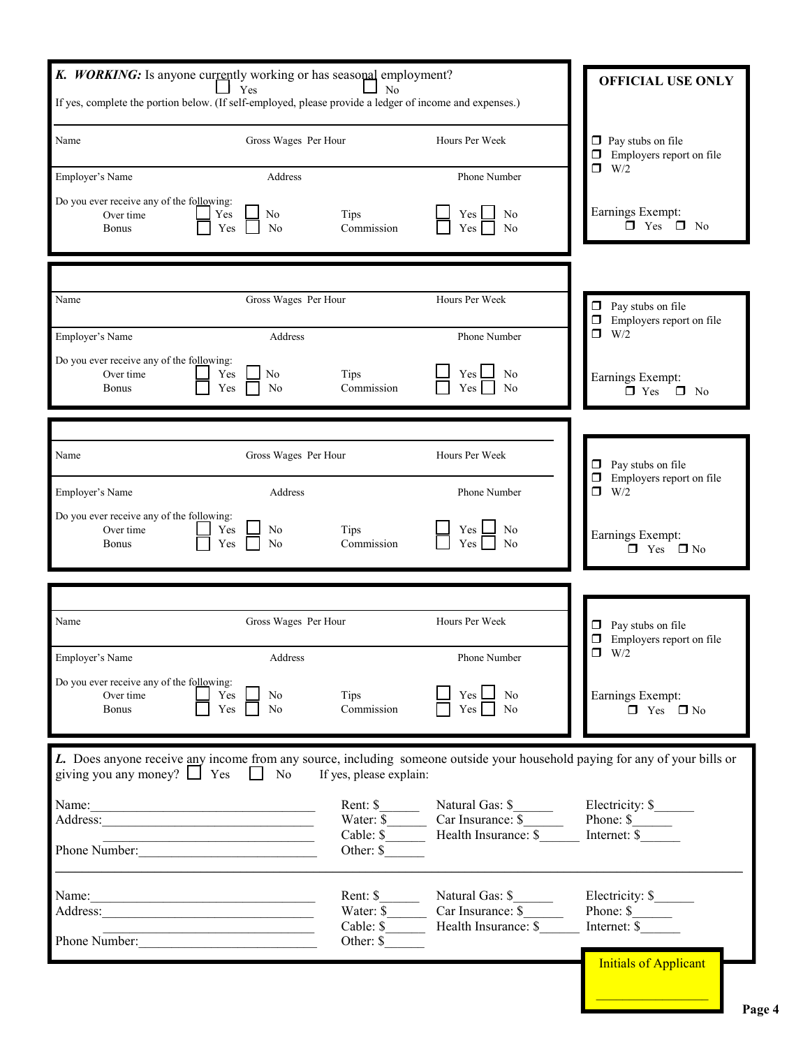| K. WORKING: Is anyone currently working or has seasonal employment?                                                                                                       |                          |                                |                                                                                                                                                                                                                                                 |                                                           |
|---------------------------------------------------------------------------------------------------------------------------------------------------------------------------|--------------------------|--------------------------------|-------------------------------------------------------------------------------------------------------------------------------------------------------------------------------------------------------------------------------------------------|-----------------------------------------------------------|
| Yes                                                                                                                                                                       | <b>OFFICIAL USE ONLY</b> |                                |                                                                                                                                                                                                                                                 |                                                           |
| If yes, complete the portion below. (If self-employed, please provide a ledger of income and expenses.)                                                                   |                          |                                |                                                                                                                                                                                                                                                 |                                                           |
| Name                                                                                                                                                                      | Gross Wages Per Hour     |                                | Hours Per Week                                                                                                                                                                                                                                  | $\Box$ Pay stubs on file<br>Employers report on file<br>□ |
| Employer's Name                                                                                                                                                           | Address                  |                                | Phone Number                                                                                                                                                                                                                                    | W/2<br>⊓                                                  |
| Do you ever receive any of the following:<br>Over time<br>Yes<br>Yes<br><b>Bonus</b>                                                                                      | No<br>N <sub>o</sub>     | Tips<br>Commission             | $Yes$ $\Box$<br>No<br>Yes<br>N <sub>0</sub>                                                                                                                                                                                                     | Earnings Exempt:<br>$\Box$ Yes $\Box$ No                  |
|                                                                                                                                                                           |                          |                                |                                                                                                                                                                                                                                                 |                                                           |
| Name                                                                                                                                                                      | Gross Wages Per Hour     |                                | Hours Per Week                                                                                                                                                                                                                                  | $\Box$ Pay stubs on file<br>Employers report on file<br>0 |
| Employer's Name                                                                                                                                                           | Address                  |                                | Phone Number                                                                                                                                                                                                                                    | Π.<br>W/2                                                 |
| Do you ever receive any of the following:<br>Over time<br>Yes<br><b>Bonus</b><br>Yes                                                                                      | N <sub>0</sub><br>No     | Tips<br>Commission             | $Yes$ $\Box$<br>N <sub>0</sub><br>Yes<br>N <sub>0</sub>                                                                                                                                                                                         | Earnings Exempt:<br>$\Box$ No<br>$\Box$ Yes               |
|                                                                                                                                                                           |                          |                                |                                                                                                                                                                                                                                                 |                                                           |
| Name                                                                                                                                                                      | Gross Wages Per Hour     |                                | Hours Per Week                                                                                                                                                                                                                                  |                                                           |
|                                                                                                                                                                           |                          |                                |                                                                                                                                                                                                                                                 | Pay stubs on file<br>Employers report on file<br>□        |
| Employer's Name                                                                                                                                                           | Address                  |                                | Phone Number                                                                                                                                                                                                                                    | ⊓<br>W/2                                                  |
| Do you ever receive any of the following:<br>Over time<br>Yes<br><b>Bonus</b><br>Yes                                                                                      | No<br>No                 | <b>Tips</b><br>Commission      | Yes  <br>No<br>Yes<br>No                                                                                                                                                                                                                        | Earnings Exempt:<br>$\Box$ Yes<br>$\square$ No            |
|                                                                                                                                                                           |                          |                                |                                                                                                                                                                                                                                                 |                                                           |
| Name                                                                                                                                                                      | Gross Wages Per Hour     |                                | Hours Per Week                                                                                                                                                                                                                                  | Pay stubs on file<br>◻<br>Employers report on file        |
| Employer's Name                                                                                                                                                           | Address                  |                                | Phone Number                                                                                                                                                                                                                                    | $\Box$ W/2                                                |
| Do you ever receive any of the following:<br>Over time<br>Yes<br>$Yes \Box$<br><b>Bonus</b>                                                                               | N <sub>o</sub><br>No     | Tips<br>Commission             | $Yes \bigsqcup No$<br>Yes  <br>N <sub>0</sub>                                                                                                                                                                                                   | Earnings Exempt:<br>$\Box$ Yes $\Box$ No                  |
| L. Does anyone receive any income from any source, including someone outside your household paying for any of your bills or<br>giving you any money? $\Box$ Yes $\Box$ No |                          | If yes, please explain:        |                                                                                                                                                                                                                                                 |                                                           |
|                                                                                                                                                                           |                          |                                |                                                                                                                                                                                                                                                 | Electricity: \$                                           |
| Address:                                                                                                                                                                  |                          |                                | Rent: \$ Water: \$ Water: \$ Water: \$ Car Insurance: \$ Car Insurance: \$ Car Insurance: \$ The Phone: \$ The Phone: \$ The Phone: \$ The Phone: \$ The Phone: \$ The Phone: \$ The Phone: \$ The Phone: \$ The Phone: \$ The Phone: \$ The Ph |                                                           |
| <u> 1989 - Johann Barbara, martin amerikan basa</u><br>Phone Number:                                                                                                      |                          | Other: \$                      |                                                                                                                                                                                                                                                 |                                                           |
| Name:<br><u> 1989 - Johann Barn, mars ar breist fan de Amerikaanske komme</u>                                                                                             |                          | Rent: $\frac{\gamma}{\gamma}$  |                                                                                                                                                                                                                                                 | Electricity: \$                                           |
|                                                                                                                                                                           |                          |                                | Rent: \$ Water: \$ Water: \$ Water: \$ Water: \$ Capite 1 and 1 and 1 and 1 and 1 and 1 and 1 and 1 and 1 and 1 and 1 and 1 and 1 and 1 and 1 and 1 and 1 and 1 and 1 and 1 and 1 and 1 and 1 and 1 and 1 and 1 and 1 and 1 and 1 a             |                                                           |
| Phone Number:                                                                                                                                                             |                          | Other: $\frac{\gamma}{\gamma}$ |                                                                                                                                                                                                                                                 |                                                           |
|                                                                                                                                                                           |                          |                                |                                                                                                                                                                                                                                                 | <b>Initials of Applicant</b>                              |
|                                                                                                                                                                           |                          |                                |                                                                                                                                                                                                                                                 |                                                           |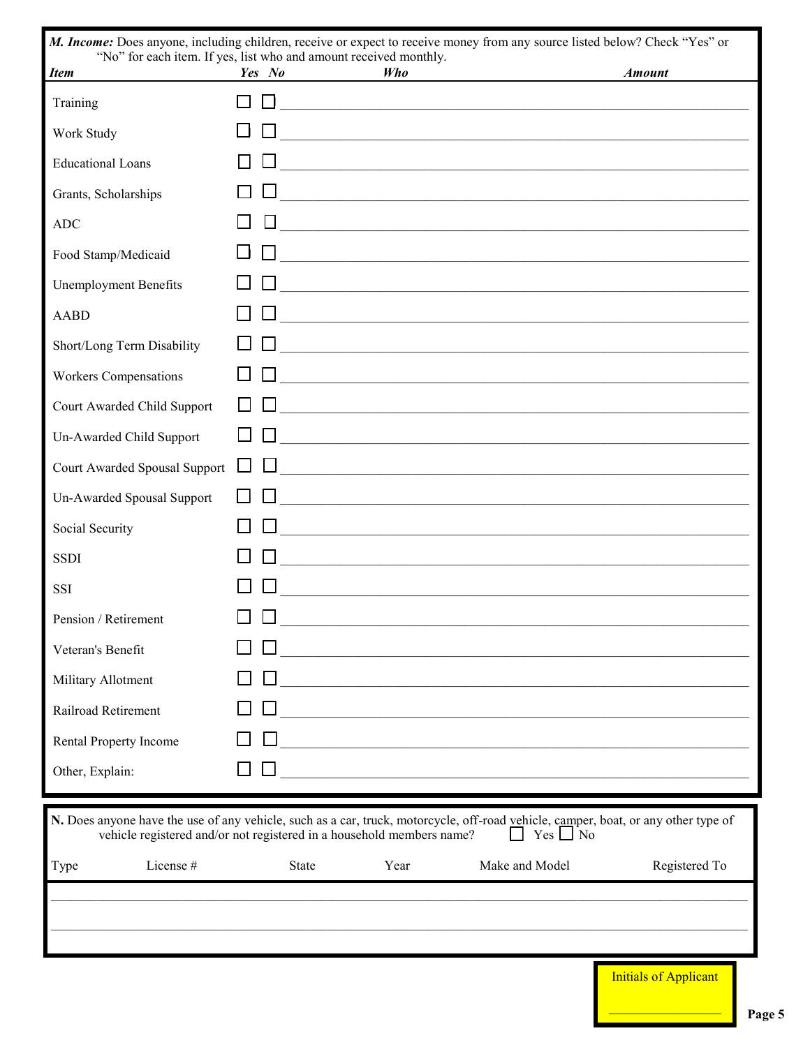| M. Income: Does anyone, including children, receive or expect to receive money from any source listed below? Check "Yes" or<br>"No" for each item. If yes, list who and amount received monthly.            |        |              |      |                                                                                                                               |                              |
|-------------------------------------------------------------------------------------------------------------------------------------------------------------------------------------------------------------|--------|--------------|------|-------------------------------------------------------------------------------------------------------------------------------|------------------------------|
| <b>Item</b>                                                                                                                                                                                                 | Yes No |              | Who  |                                                                                                                               | <b>Amount</b>                |
| Training                                                                                                                                                                                                    |        |              |      | <u> 1989 - Johann Stoff, Amerikaansk politiker (d. 1989)</u>                                                                  |                              |
| Work Study                                                                                                                                                                                                  |        |              |      |                                                                                                                               |                              |
| <b>Educational Loans</b>                                                                                                                                                                                    |        |              |      |                                                                                                                               |                              |
| Grants, Scholarships                                                                                                                                                                                        |        |              |      | <u> 1989 - Johann John Stoff, deutscher Stoffen und der Stoffen und der Stoffen und der Stoffen und der Stoffen</u>           |                              |
| <b>ADC</b>                                                                                                                                                                                                  |        |              |      | <u> 1989 - Johann John Stein, mars an deus Amerikaansk kommunister (* 1958)</u>                                               |                              |
| Food Stamp/Medicaid                                                                                                                                                                                         |        |              |      | <u> 1989 - Johann John Stone, mars et al. 1989 - John Stone, mars et al. 1989 - John Stone, mars et al. 1989 - John Stone</u> |                              |
| <b>Unemployment Benefits</b>                                                                                                                                                                                |        |              |      | <u> 1989 - Johann Barn, fransk politik (f. 1989)</u>                                                                          |                              |
| <b>AABD</b>                                                                                                                                                                                                 |        |              |      |                                                                                                                               |                              |
| Short/Long Term Disability                                                                                                                                                                                  |        |              |      | <u> 1989 - Johann John Harry Harry Harry Harry Harry Harry Harry Harry Harry Harry Harry Harry Harry Harry Harry</u>          |                              |
| <b>Workers Compensations</b>                                                                                                                                                                                |        |              |      |                                                                                                                               |                              |
| Court Awarded Child Support                                                                                                                                                                                 |        |              |      | <u> 1980 - Andrea Stadt Britain, amerikansk politik (d. 1980)</u>                                                             |                              |
| Un-Awarded Child Support                                                                                                                                                                                    |        |              |      | <u> 1989 - Johann Stoff, Amerikaansk politiker († 1908)</u>                                                                   |                              |
| Court Awarded Spousal Support                                                                                                                                                                               |        |              |      | <u> 1989 - Johann Stoff, Amerikaansk politiker († 1989)</u>                                                                   |                              |
| Un-Awarded Spousal Support                                                                                                                                                                                  |        |              |      | <u> 1989 - Johann Stoff, deutscher Stoff, der Stoff, der Stoff, der Stoff, der Stoff, der Stoff, der Stoff, der S</u>         |                              |
| Social Security                                                                                                                                                                                             |        |              |      | <u> 1980 - Jan James James James James James James James James James James James James James James James James J</u>          |                              |
| <b>SSDI</b>                                                                                                                                                                                                 |        |              |      | <u> 1989 - Johann Stoff, amerikansk politiker (d. 1989)</u>                                                                   |                              |
| <b>SSI</b>                                                                                                                                                                                                  |        |              |      |                                                                                                                               |                              |
| Pension / Retirement                                                                                                                                                                                        |        |              |      |                                                                                                                               |                              |
| Veteran's Benefit                                                                                                                                                                                           |        |              |      |                                                                                                                               |                              |
| Military Allotment                                                                                                                                                                                          |        |              |      | <u> 1989 - Johann Barbara, martin amerikan basar dan berasal dalam basa dalam basar dalam basar dalam basar dala</u>          |                              |
| Railroad Retirement                                                                                                                                                                                         |        |              |      | <u> 1989 - Johann Barbara, margaret eta idazlea (h. 1989).</u>                                                                |                              |
| Rental Property Income                                                                                                                                                                                      |        |              |      |                                                                                                                               |                              |
| Other, Explain:                                                                                                                                                                                             |        |              |      | <u> 1989 - Johann Barbara, margaret eta idazlea (h. 1989).</u>                                                                |                              |
|                                                                                                                                                                                                             |        |              |      |                                                                                                                               |                              |
| N. Does anyone have the use of any vehicle, such as a car, truck, motorcycle, off-road vehicle, camper, boat, or any other type of<br>vehicle registered and/or not registered in a household members name? |        |              |      | $Yes \nightharpoonup No$<br>$\perp$                                                                                           |                              |
| License #<br>Type                                                                                                                                                                                           |        | <b>State</b> | Year | Make and Model                                                                                                                | Registered To                |
|                                                                                                                                                                                                             |        |              |      |                                                                                                                               |                              |
|                                                                                                                                                                                                             |        |              |      |                                                                                                                               |                              |
|                                                                                                                                                                                                             |        |              |      |                                                                                                                               |                              |
|                                                                                                                                                                                                             |        |              |      |                                                                                                                               | <b>Initials of Applicant</b> |

Page 5

щ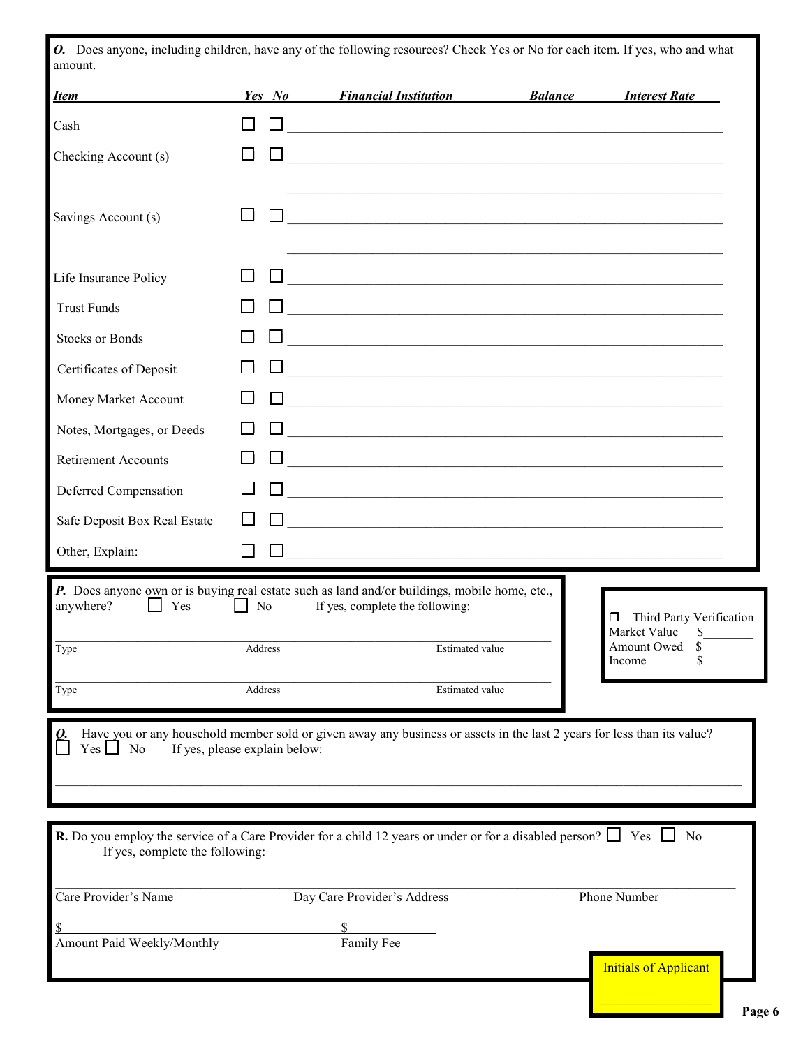*O.* Does anyone, including children, have any of the following resources? Check Yes or No for each item. If yes, who and what amount.

| <b>Item</b>                     | Yes No                        | <b>Financial Institution</b>                                                                                                                               | <b>Balance</b> | <b>Interest Rate</b>                                                                                   |
|---------------------------------|-------------------------------|------------------------------------------------------------------------------------------------------------------------------------------------------------|----------------|--------------------------------------------------------------------------------------------------------|
| Cash                            |                               | <u> 1989 - Johann John Stein, mars an deutscher Stein († 1958)</u>                                                                                         |                |                                                                                                        |
| Checking Account (s)            |                               |                                                                                                                                                            |                |                                                                                                        |
|                                 |                               |                                                                                                                                                            |                |                                                                                                        |
| Savings Account (s)             |                               | <u> 1989 - Johann John Stone, mars et al. (1989)</u>                                                                                                       |                |                                                                                                        |
|                                 |                               |                                                                                                                                                            |                |                                                                                                        |
| Life Insurance Policy           |                               |                                                                                                                                                            |                |                                                                                                        |
| <b>Trust Funds</b>              |                               |                                                                                                                                                            |                |                                                                                                        |
| <b>Stocks or Bonds</b>          |                               |                                                                                                                                                            |                |                                                                                                        |
| Certificates of Deposit         |                               |                                                                                                                                                            |                |                                                                                                        |
| Money Market Account            |                               | <u> 1989 - Johann Harry Harry Harry Harry Harry Harry Harry Harry Harry Harry Harry Harry Harry Harry Harry Harry</u>                                      |                |                                                                                                        |
| Notes, Mortgages, or Deeds      |                               |                                                                                                                                                            |                |                                                                                                        |
| <b>Retirement Accounts</b>      |                               | <u> 1980 - Jan James James Barnett, amerikan basar dan berasal dan berasal dari berasal dalam basa dalam berasal</u>                                       |                |                                                                                                        |
| Deferred Compensation           |                               | <u> 1989 - Johann Stoff, deutscher Stoffen und der Stoffen und der Stoffen und der Stoffen und der Stoffen und der</u>                                     |                |                                                                                                        |
| Safe Deposit Box Real Estate    |                               | <u> 1989 - Johann Stoff, deutscher Stoffen und der Stoffen und der Stoffen und der Stoffen und der Stoffen und der</u>                                     |                |                                                                                                        |
| Other, Explain:                 |                               | <u> 1989 - Johann John Stein, mars an deus Amerikaansk kommunister (* 1950)</u>                                                                            |                |                                                                                                        |
| anywhere?<br>Yes<br>Type        | $\Box$ No<br>Address          | <b>P.</b> Does anyone own or is buying real estate such as land and/or buildings, mobile home, etc.,<br>If yes, complete the following:<br>Estimated value |                | Third Party Verification<br>$\Box$<br>Market Value<br>$\sim$<br>Amount Owed<br><sup>\$</sup><br>Income |
| Type                            | Address                       | <b>Estimated</b> value                                                                                                                                     |                |                                                                                                        |
| $Yes \bigsqcup No$              | If yes, please explain below: | Have you or any household member sold or given away any business or assets in the last 2 years for less than its value?                                    |                |                                                                                                        |
| If yes, complete the following: |                               | <b>R.</b> Do you employ the service of a Care Provider for a child 12 years or under or for a disabled person? $\Box$ Yes $\Box$                           |                | N <sub>0</sub>                                                                                         |
| Care Provider's Name            |                               | Day Care Provider's Address                                                                                                                                |                | Phone Number                                                                                           |
|                                 |                               |                                                                                                                                                            |                |                                                                                                        |
| Amount Paid Weekly/Monthly      |                               | Family Fee                                                                                                                                                 |                | <b>Initials of Applicant</b>                                                                           |
|                                 |                               |                                                                                                                                                            |                |                                                                                                        |

٠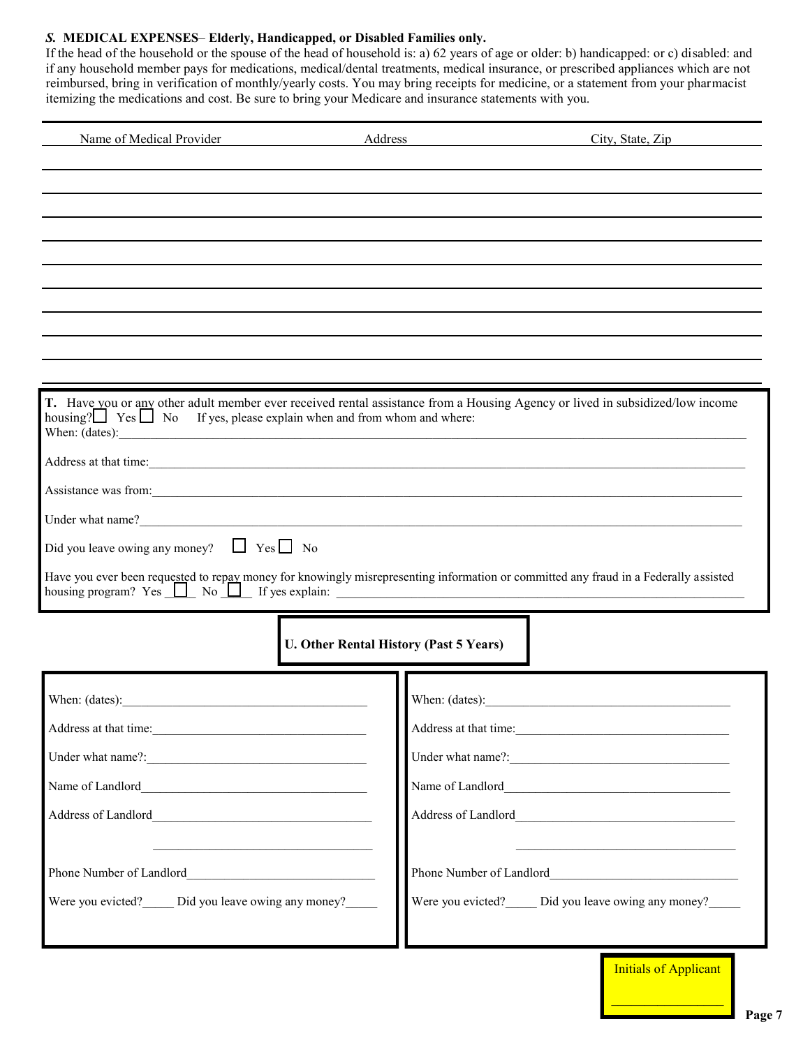#### *S.* **MEDICAL EXPENSES**– **Elderly, Handicapped, or Disabled Families only.**

If the head of the household or the spouse of the head of household is: a) 62 years of age or older: b) handicapped: or c) disabled: and if any household member pays for medications, medical/dental treatments, medical insurance, or prescribed appliances which are not reimbursed, bring in verification of monthly/yearly costs. You may bring receipts for medicine, or a statement from your pharmacist itemizing the medications and cost. Be sure to bring your Medicare and insurance statements with you.

| Name of Medical Provider<br>Address                                                                                                                                                                  | City, State, Zip                                                                                                              |  |  |
|------------------------------------------------------------------------------------------------------------------------------------------------------------------------------------------------------|-------------------------------------------------------------------------------------------------------------------------------|--|--|
|                                                                                                                                                                                                      |                                                                                                                               |  |  |
|                                                                                                                                                                                                      |                                                                                                                               |  |  |
|                                                                                                                                                                                                      |                                                                                                                               |  |  |
|                                                                                                                                                                                                      |                                                                                                                               |  |  |
|                                                                                                                                                                                                      |                                                                                                                               |  |  |
|                                                                                                                                                                                                      |                                                                                                                               |  |  |
|                                                                                                                                                                                                      |                                                                                                                               |  |  |
| housing? $\Box$ Yes $\Box$ No<br>If yes, please explain when and from whom and where:                                                                                                                | T. Have you or any other adult member ever received rental assistance from a Housing Agency or lived in subsidized/low income |  |  |
| Address at that time:                                                                                                                                                                                |                                                                                                                               |  |  |
| Assistance was from:                                                                                                                                                                                 |                                                                                                                               |  |  |
|                                                                                                                                                                                                      |                                                                                                                               |  |  |
| Did you leave owing any money? $\Box$ Yes $\Box$ No                                                                                                                                                  |                                                                                                                               |  |  |
| Have you ever been requested to repay money for knowingly misrepresenting information or committed any fraud in a Federally assisted<br>housing program? $Yes \t M \t N$ No $I \t M$ if yes explain: |                                                                                                                               |  |  |
|                                                                                                                                                                                                      | <b>U. Other Rental History (Past 5 Years)</b>                                                                                 |  |  |
|                                                                                                                                                                                                      |                                                                                                                               |  |  |
| Address at that time:                                                                                                                                                                                |                                                                                                                               |  |  |
|                                                                                                                                                                                                      |                                                                                                                               |  |  |
|                                                                                                                                                                                                      |                                                                                                                               |  |  |
|                                                                                                                                                                                                      |                                                                                                                               |  |  |
| <u> 1989 - Johann Barbara, marka a shekara tsa 1989 - An tsa 1989 - An tsa 1989 - An tsa 1989 - An tsa 1989 - An</u>                                                                                 |                                                                                                                               |  |  |
| Were you evicted? Did you leave owing any money?                                                                                                                                                     | Were you evicted? _____ Did you leave owing any money? ______                                                                 |  |  |

Initials of Applicant

 $\mathcal{L}_\text{max}$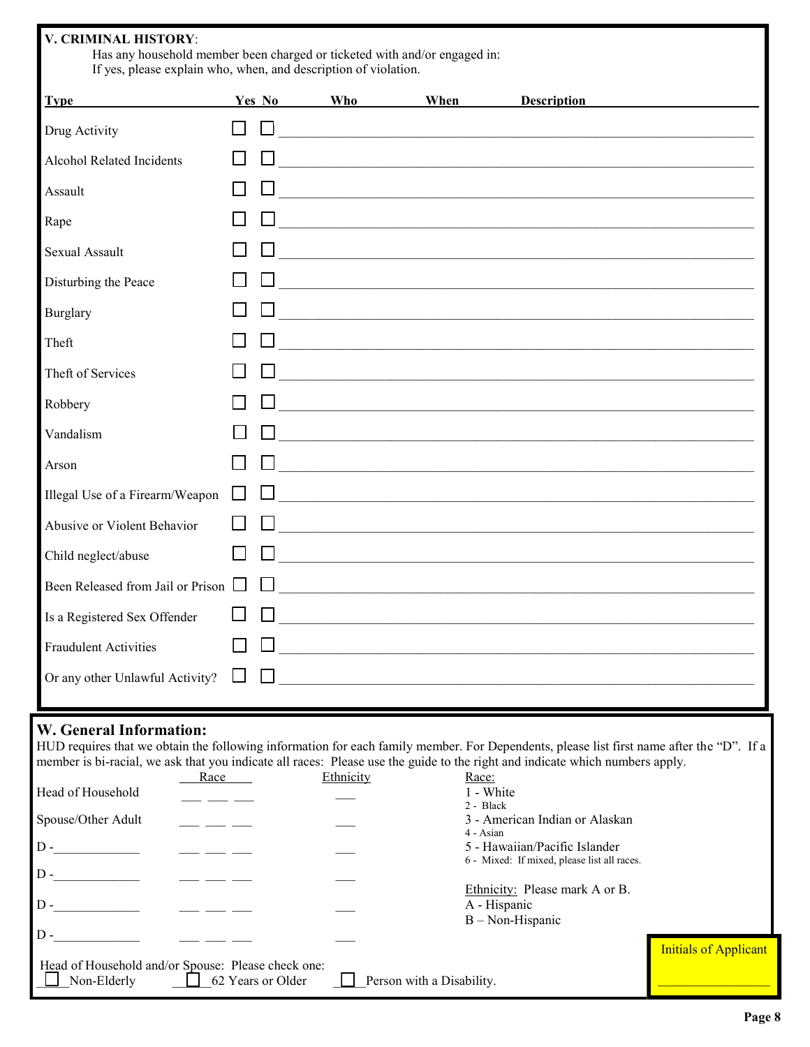| V. CRIMINAL HISTORY:<br>Has any household member been charged or ticketed with and/or engaged in:<br>If yes, please explain who, when, and description of violation. |              |            |      |                                                                                                                        |  |
|----------------------------------------------------------------------------------------------------------------------------------------------------------------------|--------------|------------|------|------------------------------------------------------------------------------------------------------------------------|--|
| <b>Type</b>                                                                                                                                                          |              | Yes No Who | When | <b>Description</b>                                                                                                     |  |
| Drug Activity                                                                                                                                                        |              |            |      | <u> 1980 - Andrea Barbara, amerikana amerikana amerikana amerikana amerikana amerikana amerikana amerikana amerika</u> |  |
| <b>Alcohol Related Incidents</b>                                                                                                                                     |              |            |      | <u> 1989 - Johann Harry Harry Harry Harry Harry Harry Harry Harry Harry Harry Harry Harry Harry Harry Harry Harry</u>  |  |
| Assault                                                                                                                                                              |              |            |      | <u> 1989 - Johann John Stoff, deutscher Stoffen und der Stoffen und der Stoffen und der Stoffen und der Stoffen u</u>  |  |
| Rape                                                                                                                                                                 |              |            |      |                                                                                                                        |  |
| <b>Sexual Assault</b>                                                                                                                                                |              |            |      | <u> 1989 - Andrea Stein, Amerikaansk politiker (* 1958)</u>                                                            |  |
| Disturbing the Peace                                                                                                                                                 |              |            |      | <u> 1989 - Johann Harry Harry Harry Harry Harry Harry Harry Harry Harry Harry Harry Harry Harry Harry Harry Harry</u>  |  |
| Burglary                                                                                                                                                             |              |            |      |                                                                                                                        |  |
| Theft                                                                                                                                                                |              |            |      | <u> 1989 - John Stoff, der andere som der andere som den stad i den stad i den stad i den stad i den stad i den s</u>  |  |
| Theft of Services                                                                                                                                                    |              |            |      |                                                                                                                        |  |
| Robbery                                                                                                                                                              |              |            |      |                                                                                                                        |  |
| Vandalism                                                                                                                                                            |              |            |      | <u> 2000 - 2000 - 2000 - 2000 - 2000 - 2000 - 2000 - 2000 - 2000 - 2000 - 2000 - 2000 - 2000 - 2000 - 2000 - 200</u>   |  |
| Arson                                                                                                                                                                |              |            |      |                                                                                                                        |  |
| Illegal Use of a Firearm/Weapon                                                                                                                                      | $\mathbf{L}$ |            |      |                                                                                                                        |  |
| Abusive or Violent Behavior                                                                                                                                          |              |            |      | <u> 1989 - Johann Amerikaanse kommunister († 1958)</u>                                                                 |  |
| Child neglect/abuse                                                                                                                                                  |              |            |      |                                                                                                                        |  |
| Been Released from Jail or Prison                                                                                                                                    |              |            |      |                                                                                                                        |  |
| Is a Registered Sex Offender                                                                                                                                         |              |            |      | <u> 1980 - Jan Barnett, fransk politik (d. 1980)</u>                                                                   |  |
| <b>Fraudulent Activities</b>                                                                                                                                         |              |            |      | <u> 1989 - Johann Harry Harry Harry Harry Harry Harry Harry Harry Harry Harry Harry Harry Harry Harry Harry Harry</u>  |  |
| Or any other Unlawful Activity?                                                                                                                                      | ⊔            |            |      |                                                                                                                        |  |

### **W. General Information:**

|                                                                                                                              |                   |                           | HUD requires that we obtain the following information for each family member. For Dependents, please list first name after the "D". If a |                              |  |  |
|------------------------------------------------------------------------------------------------------------------------------|-------------------|---------------------------|------------------------------------------------------------------------------------------------------------------------------------------|------------------------------|--|--|
| member is bi-racial, we ask that you indicate all races: Please use the guide to the right and indicate which numbers apply. |                   |                           |                                                                                                                                          |                              |  |  |
|                                                                                                                              | Race              | Ethnicity                 | Race:                                                                                                                                    |                              |  |  |
| Head of Household                                                                                                            |                   |                           | 1 - White                                                                                                                                |                              |  |  |
|                                                                                                                              |                   |                           | 2 - Black                                                                                                                                |                              |  |  |
| Spouse/Other Adult                                                                                                           |                   |                           | 3 - American Indian or Alaskan                                                                                                           |                              |  |  |
|                                                                                                                              |                   |                           | 4 - Asian                                                                                                                                |                              |  |  |
| $D -$                                                                                                                        |                   |                           | 5 - Hawaiian/Pacific Islander                                                                                                            |                              |  |  |
|                                                                                                                              |                   |                           | 6 - Mixed: If mixed, please list all races.                                                                                              |                              |  |  |
| $D -$                                                                                                                        |                   |                           |                                                                                                                                          |                              |  |  |
|                                                                                                                              |                   |                           | Ethnicity: Please mark A or B.                                                                                                           |                              |  |  |
| $D -$                                                                                                                        |                   |                           | A - Hispanic                                                                                                                             |                              |  |  |
|                                                                                                                              |                   |                           | $B - Non-Hispanic$                                                                                                                       |                              |  |  |
| $D -$                                                                                                                        |                   |                           |                                                                                                                                          |                              |  |  |
|                                                                                                                              |                   |                           |                                                                                                                                          | <b>Initials of Applicant</b> |  |  |
| Head of Household and/or Spouse: Please check one:                                                                           |                   |                           |                                                                                                                                          |                              |  |  |
| Non-Elderly                                                                                                                  | 62 Years or Older | Person with a Disability. |                                                                                                                                          |                              |  |  |
|                                                                                                                              |                   |                           |                                                                                                                                          |                              |  |  |